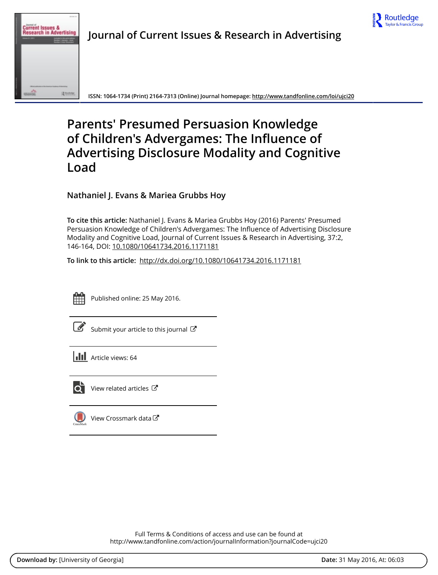



**Journal of Current Issues & Research in Advertising**

**ISSN: 1064-1734 (Print) 2164-7313 (Online) Journal homepage:<http://www.tandfonline.com/loi/ujci20>**

# **Parents' Presumed Persuasion Knowledge of Children's Advergames: The Influence of Advertising Disclosure Modality and Cognitive Load**

**Nathaniel J. Evans & Mariea Grubbs Hoy**

**To cite this article:** Nathaniel J. Evans & Mariea Grubbs Hoy (2016) Parents' Presumed Persuasion Knowledge of Children's Advergames: The Influence of Advertising Disclosure Modality and Cognitive Load, Journal of Current Issues & Research in Advertising, 37:2, 146-164, DOI: [10.1080/10641734.2016.1171181](http://www.tandfonline.com/action/showCitFormats?doi=10.1080/10641734.2016.1171181)

**To link to this article:** <http://dx.doi.org/10.1080/10641734.2016.1171181>



Published online: 25 May 2016.

|--|

[Submit your article to this journal](http://www.tandfonline.com/action/authorSubmission?journalCode=ujci20&page=instructions)  $\mathbb{Z}$ 

**III** Article views: 64



 $\overrightarrow{Q}$  [View related articles](http://www.tandfonline.com/doi/mlt/10.1080/10641734.2016.1171181)  $\overrightarrow{C}$ 

[View Crossmark data](http://crossmark.crossref.org/dialog/?doi=10.1080/10641734.2016.1171181&domain=pdf&date_stamp=2016-05-25)

Full Terms & Conditions of access and use can be found at <http://www.tandfonline.com/action/journalInformation?journalCode=ujci20>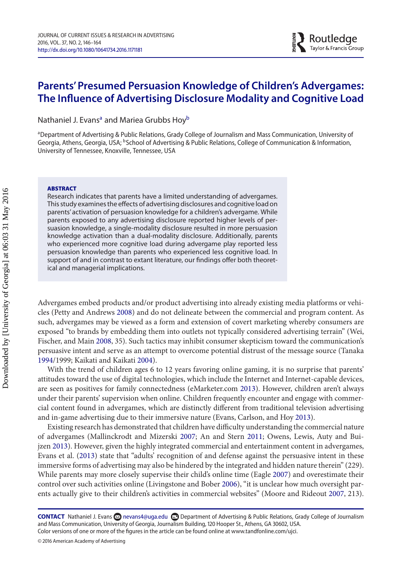## **Parents' Presumed Persuasion Knowledge of Children's Advergames: The Influence of Advertising Disclosure Modality and Cognitive Load**

Nathaniel J. Evans<sup>a</sup> and Mariea Gru[b](#page-1-1)bs Hoy<sup>b</sup>

<span id="page-1-1"></span><span id="page-1-0"></span><sup>a</sup> Department of Advertising & Public Relations, Grady College of Journalism and Mass Communication, University of Georgia, Athens, Georgia, USA; <sup>b</sup>School of Advertising & Public Relations, College of Communication & Information, University of Tennessee, Knoxville, Tennessee, USA

#### **ABSTRACT**

Research indicates that parents have a limited understanding of advergames. This study examines the effects of advertising disclosures and cognitive load on parents' activation of persuasion knowledge for a children's advergame. While parents exposed to any advertising disclosure reported higher levels of persuasion knowledge, a single-modality disclosure resulted in more persuasion knowledge activation than a dual-modality disclosure. Additionally, parents who experienced more cognitive load during advergame play reported less persuasion knowledge than parents who experienced less cognitive load. In support of and in contrast to extant literature, our findings offer both theoretical and managerial implications.

Advergames embed products and/or product advertising into already existing media platforms or vehicles (Petty and Andrews [2008\)](#page-17-0) and do not delineate between the commercial and program content. As such, advergames may be viewed as a form and extension of covert marketing whereby consumers are exposed "to brands by embedding them into outlets not typically considered advertising terrain" (Wei, Fischer, and Main [2008,](#page-17-1) 35). Such tactics may inhibit consumer skepticism toward the communication's persuasive intent and serve as an attempt to overcome potential distrust of the message source (Tanaka [1994/](#page-17-2)1999; Kaikati and Kaikati [2004\)](#page-16-0).

With the trend of children ages 6 to 12 years favoring online gaming, it is no surprise that parents' attitudes toward the use of digital technologies, which include the Internet and Internet-capable devices, are seen as positives for family connectedness (eMarketer.com [2013\)](#page-16-1). However, children aren't always under their parents' supervision when online. Children frequently encounter and engage with commercial content found in advergames, which are distinctly different from traditional television advertising and in-game advertising due to their immersive nature (Evans, Carlson, and Hoy [2013\)](#page-16-2).

Existing research has demonstrated that children have difficulty understanding the commercial nature of advergames (Mallinckrodt and Mizerski [2007;](#page-17-3) An and Stern [2011;](#page-15-0) Owens, Lewis, Auty and Buijzen [2013\)](#page-17-4). However, given the highly integrated commercial and entertainment content in advergames, Evans et al. [\(2013\)](#page-16-2) state that "adults' recognition of and defense against the persuasive intent in these immersive forms of advertising may also be hindered by the integrated and hidden nature therein" (229). While parents may more closely supervise their child's online time (Eagle [2007\)](#page-16-3) and overestimate their control over such activities online (Livingstone and Bober [2006\)](#page-16-4), "it is unclear how much oversight parents actually give to their children's activities in commercial websites" (Moore and Rideout [2007,](#page-17-5) 213).

**CONTACT** Nathaniel J. Evans **Repart Advans 4@uga.edu @Department of Advertising & Public Relations, Grady College of Journalism** and Mass Communication, University of Georgia, Journalism Building, 120 Hooper St., Athens, GA 30602, USA. Color versions of one or more of the figures in the article can be found online at www.tandfonline.com/ujci.

© 2016 American Academy of Advertising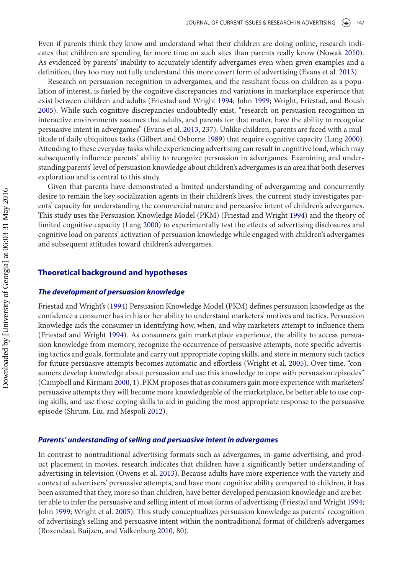Even if parents think they know and understand what their children are doing online, research indicates that children are spending far more time on such sites than parents really know (Nowak [2010\)](#page-17-6). As evidenced by parents' inability to accurately identify advergames even when given examples and a definition, they too may not fully understand this more covert form of advertising (Evans et al. [2013\)](#page-16-2).

Research on persuasion recognition in advergames, and the resultant focus on children as a population of interest, is fueled by the cognitive discrepancies and variations in marketplace experience that exist between children and adults (Friestad and Wright [1994;](#page-16-5) John [1999;](#page-16-6) Wright, Friestad, and Boush [2005\)](#page-17-7). While such cognitive discrepancies undoubtedly exist, "research on persuasion recognition in interactive environments assumes that adults, and parents for that matter, have the ability to recognize persuasive intent in advergames" (Evans et al. [2013,](#page-16-2) 237). Unlike children, parents are faced with a multitude of daily ubiquitous tasks (Gilbert and Osborne [1989\)](#page-16-7) that require cognitive capacity (Lang [2000\)](#page-16-8). Attending to these everyday tasks while experiencing advertising can result in cognitive load, which may subsequently influence parents' ability to recognize persuasion in advergames. Examining and understanding parents' level of persuasion knowledge about children's advergames is an area that both deserves exploration and is central to this study.

Given that parents have demonstrated a limited understanding of advergaming and concurrently desire to remain the key socialization agents in their children's lives, the current study investigates parents' capacity for understanding the commercial nature and persuasive intent of children's advergames. This study uses the Persuasion Knowledge Model (PKM) (Friestad and Wright [1994\)](#page-16-5) and the theory of limited cognitive capacity (Lang [2000\)](#page-16-8) to experimentally test the effects of advertising disclosures and cognitive load on parents' activation of persuasion knowledge while engaged with children's advergames and subsequent attitudes toward children's advergames.

## **Theoretical background and hypotheses**

## *The development of persuasion knowledge*

Friestad and Wright's [\(1994\)](#page-16-5) Persuasion Knowledge Model (PKM) defines persuasion knowledge as the confidence a consumer has in his or her ability to understand marketers' motives and tactics. Persuasion knowledge aids the consumer in identifying how, when, and why marketers attempt to influence them (Friestad and Wright [1994\)](#page-16-5). As consumers gain marketplace experience, the ability to access persuasion knowledge from memory, recognize the occurrence of persuasive attempts, note specific advertising tactics and goals, formulate and carry out appropriate coping skills, and store in memory such tactics for future persuasive attempts becomes automatic and effortless (Wright et al. [2005\)](#page-17-7). Over time, "consumers develop knowledge about persuasion and use this knowledge to cope with persuasion episodes" (Campbell and Kirmani [2000,](#page-16-9) 1). PKM proposes that as consumers gain more experience with marketers' persuasive attempts they will become more knowledgeable of the marketplace, be better able to use coping skills, and use those coping skills to aid in guiding the most appropriate response to the persuasive episode (Shrum, Liu, and Mespoli [2012\)](#page-17-8).

## *Parents' understanding of selling and persuasive intent in advergames*

In contrast to nontraditional advertising formats such as advergames, in-game advertising, and product placement in movies, research indicates that children have a significantly better understanding of advertising in television (Owens et al. [2013\)](#page-17-4). Because adults have more experience with the variety and context of advertisers' persuasive attempts, and have more cognitive ability compared to children, it has been assumed that they, more so than children, have better developed persuasion knowledge and are better able to infer the persuasive and selling intent of most forms of advertising (Friestad and Wright [1994;](#page-16-5) John [1999;](#page-16-6) Wright et al. [2005\)](#page-17-7). This study conceptualizes persuasion knowledge as parents' recognition of advertising's selling and persuasive intent within the nontraditional format of children's advergames (Rozendaal, Buijzen, and Valkenburg [2010,](#page-17-9) 80).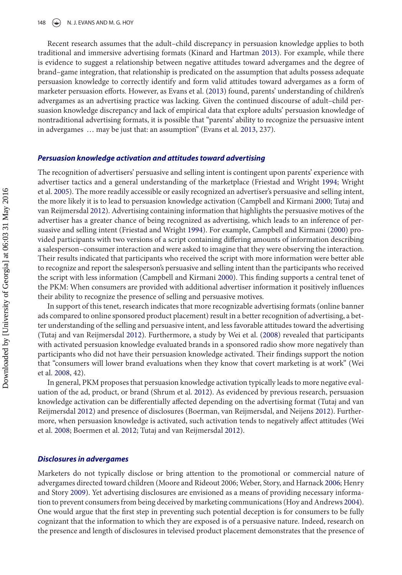Recent research assumes that the adult–child discrepancy in persuasion knowledge applies to both traditional and immersive advertising formats (Kinard and Hartman [2013\)](#page-16-10). For example, while there is evidence to suggest a relationship between negative attitudes toward advergames and the degree of brand–game integration, that relationship is predicated on the assumption that adults possess adequate persuasion knowledge to correctly identify and form valid attitudes toward advergames as a form of marketer persuasion efforts. However, as Evans et al. [\(2013\)](#page-16-2) found, parents' understanding of children's advergames as an advertising practice was lacking. Given the continued discourse of adult–child persuasion knowledge discrepancy and lack of empirical data that explore adults' persuasion knowledge of nontraditional advertising formats, it is possible that "parents' ability to recognize the persuasive intent in advergames … may be just that: an assumption" (Evans et al. [2013,](#page-16-2) 237).

#### *Persuasion knowledge activation and attitudes toward advertising*

The recognition of advertisers' persuasive and selling intent is contingent upon parents' experience with advertiser tactics and a general understanding of the marketplace (Friestad and Wright [1994;](#page-16-5) Wright et al. [2005\)](#page-17-7). The more readily accessible or easily recognized an advertiser's persuasive and selling intent, the more likely it is to lead to persuasion knowledge activation (Campbell and Kirmani [2000;](#page-16-9) Tutaj and van Reijmersdal [2012\)](#page-17-10). Advertising containing information that highlights the persuasive motives of the advertiser has a greater chance of being recognized as advertising, which leads to an inference of persuasive and selling intent (Friestad and Wright [1994\)](#page-16-5). For example, Campbell and Kirmani [\(2000\)](#page-16-9) provided participants with two versions of a script containing differing amounts of information describing a salesperson–consumer interaction and were asked to imagine that they were observing the interaction. Their results indicated that participants who received the script with more information were better able to recognize and report the salesperson's persuasive and selling intent than the participants who received the script with less information (Campbell and Kirmani [2000\)](#page-16-9). This finding supports a central tenet of the PKM: When consumers are provided with additional advertiser information it positively influences their ability to recognize the presence of selling and persuasive motives.

In support of this tenet, research indicates that more recognizable advertising formats (online banner ads compared to online sponsored product placement) result in a better recognition of advertising, a better understanding of the selling and persuasive intent, and less favorable attitudes toward the advertising (Tutaj and van Reijmersdal [2012\)](#page-17-10). Furthermore, a study by Wei et al. [\(2008\)](#page-17-1) revealed that participants with activated persuasion knowledge evaluated brands in a sponsored radio show more negatively than participants who did not have their persuasion knowledge activated. Their findings support the notion that "consumers will lower brand evaluations when they know that covert marketing is at work" (Wei et al. [2008,](#page-17-1) 42).

In general, PKM proposes that persuasion knowledge activation typically leads to more negative evaluation of the ad, product, or brand (Shrum et al. [2012\)](#page-17-8). As evidenced by previous research, persuasion knowledge activation can be differentially affected depending on the advertising format (Tutaj and van Reijmersdal [2012\)](#page-17-10) and presence of disclosures (Boerman, van Reijmersdal, and Neijens [2012\)](#page-15-1). Furthermore, when persuasion knowledge is activated, such activation tends to negatively affect attitudes (Wei et al. [2008;](#page-17-1) Boermen et al. [2012;](#page-15-1) Tutaj and van Reijmersdal [2012\)](#page-17-10).

#### *Disclosures in advergames*

Marketers do not typically disclose or bring attention to the promotional or commercial nature of advergames directed toward children (Moore and Rideout 2006; Weber, Story, and Harnack [2006;](#page-17-11) Henry and Story [2009\)](#page-16-11). Yet advertising disclosures are envisioned as a means of providing necessary information to prevent consumers from being deceived by marketing communications (Hoy and Andrews [2004\)](#page-16-12). One would argue that the first step in preventing such potential deception is for consumers to be fully cognizant that the information to which they are exposed is of a persuasive nature. Indeed, research on the presence and length of disclosures in televised product placement demonstrates that the presence of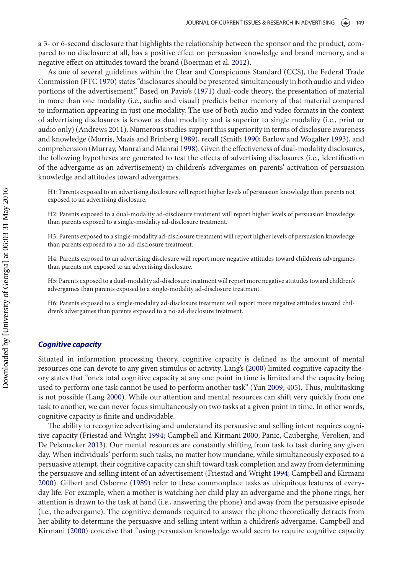a 3- or 6-second disclosure that highlights the relationship between the sponsor and the product, compared to no disclosure at all, has a positive effect on persuasion knowledge and brand memory, and a negative effect on attitudes toward the brand (Boerman et al. [2012\)](#page-15-1).

As one of several guidelines within the Clear and Conspicuous Standard (CCS), the Federal Trade Commission (FTC [1970\)](#page-16-13) states "disclosures should be presented simultaneously in both audio and video portions of the advertisement." Based on Pavio's [\(1971\)](#page-17-12) dual-code theory, the presentation of material in more than one modality (i.e., audio and visual) predicts better memory of that material compared to information appearing in just one modality. The use of both audio and video formats in the context of advertising disclosures is known as dual modality and is superior to single modality (i.e., print or audio only) (Andrews [2011\)](#page-15-2). Numerous studies support this superiority in terms of disclosure awareness and knowledge (Morris, Mazis and Brinberg [1989\)](#page-17-13), recall (Smith [1990;](#page-17-14) Barlow and Wogalter [1993\)](#page-15-3), and comprehension (Murray, Manrai and Manrai [1998\)](#page-17-15). Given the effectiveness of dual-modality disclosures, the following hypotheses are generated to test the effects of advertising disclosures (i.e., identification of the advergame as an advertisement) in children's advergames on parents' activation of persuasion knowledge and attitudes toward advergames.

H1: Parents exposed to an advertising disclosure will report higher levels of persuasion knowledge than parents not exposed to an advertising disclosure.

H2: Parents exposed to a dual-modality ad-disclosure treatment will report higher levels of persuasion knowledge than parents exposed to a single-modality ad-disclosure treatment.

H3: Parents exposed to a single-modality ad-disclosure treatment will report higher levels of persuasion knowledge than parents exposed to a no-ad-disclosure treatment.

H4: Parents exposed to an advertising disclosure will report more negative attitudes toward children's advergames than parents not exposed to an advertising disclosure.

H5: Parents exposed to a dual-modality ad-disclosure treatment will report more negative attitudes toward children's advergames than parents exposed to a single-modality ad-disclosure treatment.

H6: Parents exposed to a single-modality ad-disclosure treatment will report more negative attitudes toward children's advergames than parents exposed to a no-ad-disclosure treatment.

#### *Cognitive capacity*

Situated in information processing theory, cognitive capacity is defined as the amount of mental resources one can devote to any given stimulus or activity. Lang's [\(2000\)](#page-16-8) limited cognitive capacity theory states that "one's total cognitive capacity at any one point in time is limited and the capacity being used to perform one task cannot be used to perform another task" (Yun [2009,](#page-18-0) 405). Thus, multitasking is not possible (Lang [2000\)](#page-16-8). While our attention and mental resources can shift very quickly from one task to another, we can never focus simultaneously on two tasks at a given point in time. In other words, cognitive capacity is finite and undividable.

The ability to recognize advertising and understand its persuasive and selling intent requires cognitive capacity (Friestad and Wright [1994;](#page-16-5) Campbell and Kirmani [2000;](#page-16-9) Panic, Cauberghe, Verolien, and De Pelsmacker [2013\)](#page-17-16). Our mental resources are constantly shifting from task to task during any given day. When individuals' perform such tasks, no matter how mundane, while simultaneously exposed to a persuasive attempt, their cognitive capacity can shift toward task completion and away from determining the persuasive and selling intent of an advertisement (Friestad and Wright [1994;](#page-16-5) Campbell and Kirmani [2000\)](#page-16-9). Gilbert and Osborne [\(1989\)](#page-16-7) refer to these commonplace tasks as ubiquitous features of everyday life. For example, when a mother is watching her child play an advergame and the phone rings, her attention is drawn to the task at hand (i.e., answering the phone) and away from the persuasive episode (i.e., the advergame). The cognitive demands required to answer the phone theoretically detracts from her ability to determine the persuasive and selling intent within a children's advergame. Campbell and Kirmani [\(2000\)](#page-16-9) conceive that "using persuasion knowledge would seem to require cognitive capacity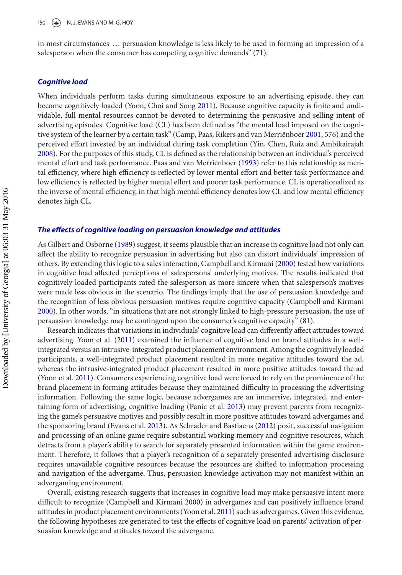in most circumstances … persuasion knowledge is less likely to be used in forming an impression of a salesperson when the consumer has competing cognitive demands" (71).

#### *Cognitive load*

When individuals perform tasks during simultaneous exposure to an advertising episode, they can become cognitively loaded (Yoon, Choi and Song [2011\)](#page-17-17). Because cognitive capacity is finite and undividable, full mental resources cannot be devoted to determining the persuasive and selling intent of advertising episodes. Cognitive load (CL) has been defined as "the mental load imposed on the cognitive system of the learner by a certain task" (Camp, Paas, Rikers and van Merriënboer [2001,](#page-15-4) 576) and the perceived effort invested by an individual during task completion (Yin, Chen, Ruiz and Ambikairajah [2008\)](#page-17-18). For the purposes of this study, CL is defined as the relationship between an individual's perceived mental effort and task performance. Paas and van Merrienboer [\(1993\)](#page-17-19) refer to this relationship as mental efficiency, where high efficiency is reflected by lower mental effort and better task performance and low efficiency is reflected by higher mental effort and poorer task performance. CL is operationalized as the inverse of mental efficiency, in that high mental efficiency denotes low CL and low mental efficiency denotes high CL.

## *The effects of cognitive loading on persuasion knowledge and attitudes*

As Gilbert and Osborne [\(1989\)](#page-16-7) suggest, it seems plausible that an increase in cognitive load not only can affect the ability to recognize persuasion in advertising but also can distort individuals' impression of others. By extending this logic to a sales interaction, Campbell and Kirmani [\(2000\)](#page-16-9) tested how variations in cognitive load affected perceptions of salespersons' underlying motives. The results indicated that cognitively loaded participants rated the salesperson as more sincere when that salesperson's motives were made less obvious in the scenario. The findings imply that the use of persuasion knowledge and the recognition of less obvious persuasion motives require cognitive capacity (Campbell and Kirmani [2000\)](#page-16-9). In other words, "in situations that are not strongly linked to high-pressure persuasion, the use of persuasion knowledge may be contingent upon the consumer's cognitive capacity" (81).

Research indicates that variations in individuals' cognitive load can differently affect attitudes toward advertising. Yoon et al. [\(2011\)](#page-17-17) examined the influence of cognitive load on brand attitudes in a wellintegrated versus an intrusive-integrated product placement environment. Among the cognitively loaded participants, a well-integrated product placement resulted in more negative attitudes toward the ad, whereas the intrusive-integrated product placement resulted in more positive attitudes toward the ad (Yoon et al. [2011\)](#page-17-17). Consumers experiencing cognitive load were forced to rely on the prominence of the brand placement in forming attitudes because they maintained difficulty in processing the advertising information. Following the same logic, because advergames are an immersive, integrated, and entertaining form of advertising, cognitive loading (Panic et al. [2013\)](#page-17-16) may prevent parents from recognizing the game's persuasive motives and possibly result in more positive attitudes toward advergames and the sponsoring brand (Evans et al. [2013\)](#page-16-2). As Schrader and Bastiaens [\(2012\)](#page-17-20) posit, successful navigation and processing of an online game require substantial working memory and cognitive resources, which detracts from a player's ability to search for separately presented information within the game environment. Therefore, it follows that a player's recognition of a separately presented advertising disclosure requires unavailable cognitive resources because the resources are shifted to information processing and navigation of the advergame. Thus, persuasion knowledge activation may not manifest within an advergaming environment.

Overall, existing research suggests that increases in cognitive load may make persuasive intent more difficult to recognize (Campbell and Kirmani [2000\)](#page-16-9) in advergames and can positively influence brand attitudes in product placement environments (Yoon et al. [2011\)](#page-17-17) such as advergames. Given this evidence, the following hypotheses are generated to test the effects of cognitive load on parents' activation of persuasion knowledge and attitudes toward the advergame.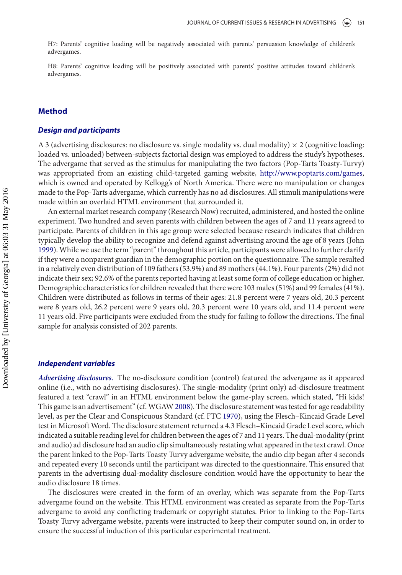H7: Parents' cognitive loading will be negatively associated with parents' persuasion knowledge of children's advergames.

H8: Parents' cognitive loading will be positively associated with parents' positive attitudes toward children's advergames.

## **Method**

## *Design and participants*

A 3 (advertising disclosures: no disclosure vs. single modality vs. dual modality)  $\times$  2 (cognitive loading: loaded vs. unloaded) between-subjects factorial design was employed to address the study's hypotheses. The advergame that served as the stimulus for manipulating the two factors (Pop-Tarts Toasty-Turvy) was appropriated from an existing child-targeted gaming website, [http://www.poptarts.com/games,](http://www.poptarts.com/games) which is owned and operated by Kellogg's of North America. There were no manipulation or changes made to the Pop-Tarts advergame, which currently has no ad disclosures. All stimuli manipulations were made within an overlaid HTML environment that surrounded it.

An external market research company (Research Now) recruited, administered, and hosted the online experiment. Two hundred and seven parents with children between the ages of 7 and 11 years agreed to participate. Parents of children in this age group were selected because research indicates that children typically develop the ability to recognize and defend against advertising around the age of 8 years (John [1999\)](#page-16-6). While we use the term "parent" throughout this article, participants were allowed to further clarify if they were a nonparent guardian in the demographic portion on the questionnaire. The sample resulted in a relatively even distribution of 109 fathers (53.9%) and 89 mothers (44.1%). Four parents (2%) did not indicate their sex; 92.6% of the parents reported having at least some form of college education or higher. Demographic characteristics for children revealed that there were 103 males (51%) and 99 females (41%). Children were distributed as follows in terms of their ages: 21.8 percent were 7 years old, 20.3 percent were 8 years old, 26.2 percent were 9 years old, 20.3 percent were 10 years old, and 11.4 percent were 11 years old. Five participants were excluded from the study for failing to follow the directions. The final sample for analysis consisted of 202 parents.

#### *Independent variables*

*Advertising disclosures.* The no-disclosure condition (control) featured the advergame as it appeared online (i.e., with no advertising disclosures). The single-modality (print only) ad-disclosure treatment featured a text "crawl" in an HTML environment below the game-play screen, which stated, "Hi kids! This game is an advertisement" (cf. WGAW [2008\)](#page-17-21). The disclosure statement was tested for age readability level, as per the Clear and Conspicuous Standard (cf. FTC [1970\)](#page-16-13), using the Flesch–Kincaid Grade Level test in Microsoft Word. The disclosure statement returned a 4.3 Flesch–Kincaid Grade Level score, which indicated a suitable reading level for children between the ages of 7 and 11 years. The dual-modality (print and audio) ad disclosure had an audio clip simultaneously restating what appeared in the text crawl. Once the parent linked to the Pop-Tarts Toasty Turvy advergame website, the audio clip began after 4 seconds and repeated every 10 seconds until the participant was directed to the questionnaire. This ensured that parents in the advertising dual-modality disclosure condition would have the opportunity to hear the audio disclosure 18 times.

The disclosures were created in the form of an overlay, which was separate from the Pop-Tarts advergame found on the website. This HTML environment was created as separate from the Pop-Tarts advergame to avoid any conflicting trademark or copyright statutes. Prior to linking to the Pop-Tarts Toasty Turvy advergame website, parents were instructed to keep their computer sound on, in order to ensure the successful induction of this particular experimental treatment.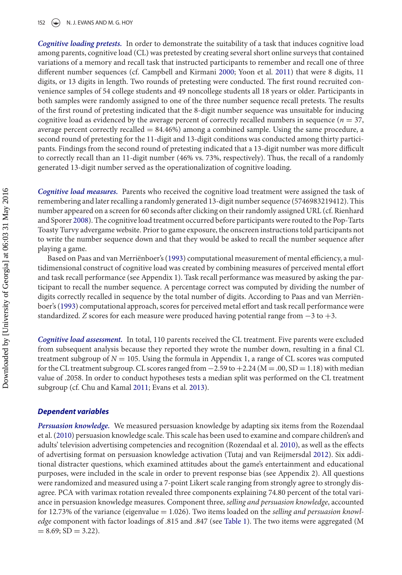#### 152  $\left(\rightarrow\right)$  N. J. EVANS AND M. G. HOY

*Cognitive loading pretests.* In order to demonstrate the suitability of a task that induces cognitive load among parents, cognitive load (CL) was pretested by creating several short online surveys that contained variations of a memory and recall task that instructed participants to remember and recall one of three different number sequences (cf. Campbell and Kirmani [2000;](#page-16-9) Yoon et al. [2011\)](#page-17-17) that were 8 digits, 11 digits, or 13 digits in length. Two rounds of pretesting were conducted. The first round recruited convenience samples of 54 college students and 49 noncollege students all 18 years or older. Participants in both samples were randomly assigned to one of the three number sequence recall pretests. The results of the first round of pretesting indicated that the 8-digit number sequence was unsuitable for inducing cognitive load as evidenced by the average percent of correctly recalled numbers in sequence ( $n = 37$ , average percent correctly recalled  $= 84.46\%$ ) among a combined sample. Using the same procedure, a second round of pretesting for the 11-digit and 13-digit conditions was conducted among thirty participants. Findings from the second round of pretesting indicated that a 13-digit number was more difficult to correctly recall than an 11-digit number (46% vs. 73%, respectively). Thus, the recall of a randomly generated 13-digit number served as the operationalization of cognitive loading.

*Cognitive load measures.* Parents who received the cognitive load treatment were assigned the task of remembering and later recalling a randomly generated 13-digit number sequence (5746983219412). This number appeared on a screen for 60 seconds after clicking on their randomly assigned URL (cf. Rienhard and Sporer [2008\)](#page-17-22). The cognitive load treatment occurred before participants were routed to the Pop-Tarts Toasty Turvy advergame website. Prior to game exposure, the onscreen instructions told participants not to write the number sequence down and that they would be asked to recall the number sequence after playing a game.

Based on Paas and van Merriënboer's [\(1993\)](#page-17-19) computational measurement of mental efficiency, a multidimensional construct of cognitive load was created by combining measures of perceived mental effort and task recall performance (see Appendix 1). Task recall performance was measured by asking the participant to recall the number sequence. A percentage correct was computed by dividing the number of digits correctly recalled in sequence by the total number of digits. According to Paas and van Merriënboer's [\(1993\)](#page-17-19) computational approach, scores for perceived metal effort and task recall performance were standardized. *Z* scores for each measure were produced having potential range from −3 to +3.

*Cognitive load assessment.* In total, 110 parents received the CL treatment. Five parents were excluded from subsequent analysis because they reported they wrote the number down, resulting in a final CL treatment subgroup of  $N = 105$ . Using the formula in Appendix 1, a range of CL scores was computed for the CL treatment subgroup. CL scores ranged from  $-2.59$  to  $+2.24$  ( $M = .00$ , SD = 1.18) with median value of .2058. In order to conduct hypotheses tests a median split was performed on the CL treatment subgroup (cf. Chu and Kamal [2011;](#page-16-14) Evans et al. [2013\)](#page-16-2).

#### *Dependent variables*

*Persuasion knowledge.* We measured persuasion knowledge by adapting six items from the Rozendaal et al. [\(2010\)](#page-17-9) persuasion knowledge scale. This scale has been used to examine and compare children's and adults' television advertising competencies and recognition (Rozendaal et al. [2010\)](#page-17-9), as well as the effects of advertising format on persuasion knowledge activation (Tutaj and van Reijmersdal [2012\)](#page-17-10). Six additional distracter questions, which examined attitudes about the game's entertainment and educational purposes, were included in the scale in order to prevent response bias (see Appendix 2). All questions were randomized and measured using a 7-point Likert scale ranging from strongly agree to strongly disagree. PCA with varimax rotation revealed three components explaining 74.80 percent of the total variance in persuasion knowledge measures. Component three, *selling and persuasion knowledge*, accounted for 12.73% of the variance (eigenvalue = 1.026). Two items loaded on the *selling and persuasion knowledge* component with factor loadings of .815 and .847 (see [Table 1\)](#page-8-0). The two items were aggregated (M  $= 8.69; SD = 3.22.$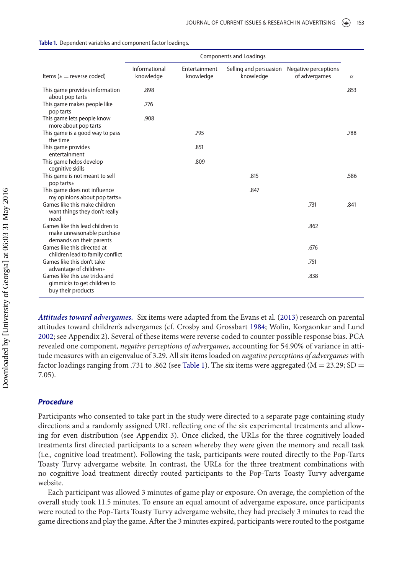|                                                                                            | <b>Components and Loadings</b> |                            |                                     |                                       |          |
|--------------------------------------------------------------------------------------------|--------------------------------|----------------------------|-------------------------------------|---------------------------------------|----------|
| Items ( $*$ = reverse coded)                                                               | Informational<br>knowledge     | Entertainment<br>knowledge | Selling and persuasion<br>knowledge | Negative perceptions<br>of advergames | $\alpha$ |
| This game provides information<br>about pop tarts                                          | .898                           |                            |                                     |                                       | .853     |
| This game makes people like<br>pop tarts                                                   | .776                           |                            |                                     |                                       |          |
| This game lets people know<br>more about pop tarts                                         | .908                           |                            |                                     |                                       |          |
| This game is a good way to pass<br>the time                                                |                                | .795                       |                                     |                                       | .788     |
| This game provides<br>entertainment                                                        |                                | .851                       |                                     |                                       |          |
| This game helps develop<br>cognitive skills                                                |                                | .809                       |                                     |                                       |          |
| This game is not meant to sell<br>pop tarts*                                               |                                |                            | .815                                |                                       | .586     |
| This game does not influence<br>my opinions about pop tarts*                               |                                |                            | .847                                |                                       |          |
| Games like this make children<br>want things they don't really<br>need                     |                                |                            |                                     | .731                                  | .841     |
| Games like this lead children to<br>make unreasonable purchase<br>demands on their parents |                                |                            |                                     | .862                                  |          |
| Games like this directed at<br>children lead to family conflict                            |                                |                            |                                     | .676                                  |          |
| Games like this don't take<br>advantage of children*                                       |                                |                            |                                     | .751                                  |          |
| Games like this use tricks and<br>gimmicks to get children to<br>buy their products        |                                |                            |                                     | .838                                  |          |

<span id="page-8-0"></span>**Table 1.** Dependent variables and component factor loadings.

*Attitudes toward advergames.* Six items were adapted from the Evans et al. [\(2013\)](#page-16-2) research on parental attitudes toward children's advergames (cf. Crosby and Grossbart [1984;](#page-16-15) Wolin, Korgaonkar and Lund [2002;](#page-17-23) see Appendix 2). Several of these items were reverse coded to counter possible response bias. PCA revealed one component, *negative perceptions of advergames*, accounting for 54.90% of variance in attitude measures with an eigenvalue of 3.29. All six items loaded on *negative perceptions of advergames* with factor loadings ranging from .731 to .862 (see [Table 1\)](#page-8-0). The six items were aggregated ( $M = 23.29$ ; SD = 7.05).

## *Procedure*

Participants who consented to take part in the study were directed to a separate page containing study directions and a randomly assigned URL reflecting one of the six experimental treatments and allowing for even distribution (see Appendix 3). Once clicked, the URLs for the three cognitively loaded treatments first directed participants to a screen whereby they were given the memory and recall task (i.e., cognitive load treatment). Following the task, participants were routed directly to the Pop-Tarts Toasty Turvy advergame website. In contrast, the URLs for the three treatment combinations with no cognitive load treatment directly routed participants to the Pop-Tarts Toasty Turvy advergame website.

Each participant was allowed 3 minutes of game play or exposure. On average, the completion of the overall study took 11.5 minutes. To ensure an equal amount of advergame exposure, once participants were routed to the Pop-Tarts Toasty Turvy advergame website, they had precisely 3 minutes to read the game directions and play the game. After the 3 minutes expired, participants were routed to the postgame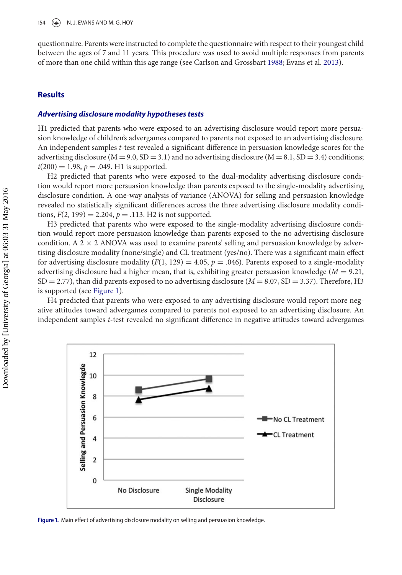questionnaire. Parents were instructed to complete the questionnaire with respect to their youngest child between the ages of 7 and 11 years. This procedure was used to avoid multiple responses from parents of more than one child within this age range (see Carlson and Grossbart [1988;](#page-16-16) Evans et al. [2013\)](#page-16-2).

## **Results**

## *Advertising disclosure modality hypotheses tests*

H1 predicted that parents who were exposed to an advertising disclosure would report more persuasion knowledge of children's advergames compared to parents not exposed to an advertising disclosure. An independent samples *t*-test revealed a significant difference in persuasion knowledge scores for the advertising disclosure ( $M = 9.0$ ,  $SD = 3.1$ ) and no advertising disclosure ( $M = 8.1$ ,  $SD = 3.4$ ) conditions;  $t(200) = 1.98, p = .049$ . H1 is supported.

H2 predicted that parents who were exposed to the dual-modality advertising disclosure condition would report more persuasion knowledge than parents exposed to the single-modality advertising disclosure condition. A one-way analysis of variance (ANOVA) for selling and persuasion knowledge revealed no statistically significant differences across the three advertising disclosure modality conditions,  $F(2, 199) = 2.204$ ,  $p = .113$ . H<sub>2</sub> is not supported.

H3 predicted that parents who were exposed to the single-modality advertising disclosure condition would report more persuasion knowledge than parents exposed to the no advertising disclosure condition. A  $2 \times 2$  ANOVA was used to examine parents' selling and persuasion knowledge by advertising disclosure modality (none/single) and CL treatment (yes/no). There was a significant main effect for advertising disclosure modality  $(F(1, 129) = 4.05, p = .046)$ . Parents exposed to a single-modality advertising disclosure had a higher mean, that is, exhibiting greater persuasion knowledge (*M* = 9.21,  $SD = 2.77$ ), than did parents exposed to no advertising disclosure ( $M = 8.07$ ,  $SD = 3.37$ ). Therefore, H3 is supported (see [Figure 1\)](#page-9-0).

H4 predicted that parents who were exposed to any advertising disclosure would report more negative attitudes toward advergames compared to parents not exposed to an advertising disclosure. An independent samples *t*-test revealed no significant difference in negative attitudes toward advergames

<span id="page-9-0"></span>

Figure 1. Main effect of advertising disclosure modality on selling and persuasion knowledge.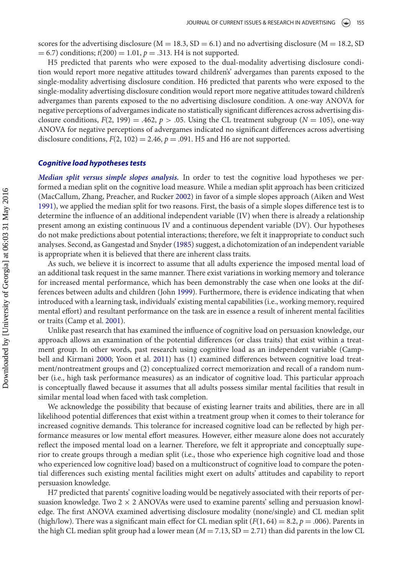scores for the advertising disclosure ( $M = 18.3$ ,  $SD = 6.1$ ) and no advertising disclosure ( $M = 18.2$ , SD  $(200) = 1.01, p = .313$ . H4 is not supported.

H5 predicted that parents who were exposed to the dual-modality advertising disclosure condition would report more negative attitudes toward children's' advergames than parents exposed to the single-modality advertising disclosure condition. H6 predicted that parents who were exposed to the single-modality advertising disclosure condition would report more negative attitudes toward children's advergames than parents exposed to the no advertising disclosure condition. A one-way ANOVA for negative perceptions of advergames indicate no statistically significant differences across advertising disclosure conditions,  $F(2, 199) = .462$ ,  $p > .05$ . Using the CL treatment subgroup ( $N = 105$ ), one-way ANOVA for negative perceptions of advergames indicated no significant differences across advertising disclosure conditions,  $F(2, 102) = 2.46$ ,  $p = .091$ . H5 and H6 are not supported.

## *Cognitive load hypotheses tests*

*Median split versus simple slopes analysis.* In order to test the cognitive load hypotheses we performed a median split on the cognitive load measure. While a median split approach has been criticized (MacCallum, Zhang, Preacher, and Rucker [2002\)](#page-17-24) in favor of a simple slopes approach (Aiken and West [1991\)](#page-15-5), we applied the median split for two reasons. First, the basis of a simple slopes difference test is to determine the influence of an additional independent variable (IV) when there is already a relationship present among an existing continuous IV and a continuous dependent variable (DV). Our hypotheses do not make predictions about potential interactions; therefore, we felt it inappropriate to conduct such analyses. Second, as Gangestad and Snyder [\(1985\)](#page-16-17) suggest, a dichotomization of an independent variable is appropriate when it is believed that there are inherent class traits.

As such, we believe it is incorrect to assume that all adults experience the imposed mental load of an additional task request in the same manner. There exist variations in working memory and tolerance for increased mental performance, which has been demonstrably the case when one looks at the differences between adults and children (John [1999\)](#page-16-6). Furthermore, there is evidence indicating that when introduced with a learning task, individuals' existing mental capabilities (i.e., working memory, required mental effort) and resultant performance on the task are in essence a result of inherent mental facilities or traits (Camp et al. [2001\)](#page-15-4).

Unlike past research that has examined the influence of cognitive load on persuasion knowledge, our approach allows an examination of the potential differences (or class traits) that exist within a treatment group. In other words, past research using cognitive load as an independent variable (Campbell and Kirmani [2000;](#page-16-9) Yoon et al. [2011\)](#page-17-17) has (1) examined differences between cognitive load treatment/nontreatment groups and (2) conceptualized correct memorization and recall of a random number (i.e., high task performance measures) as an indicator of cognitive load. This particular approach is conceptually flawed because it assumes that all adults possess similar mental facilities that result in similar mental load when faced with task completion.

We acknowledge the possibility that because of existing learner traits and abilities, there are in all likelihood potential differences that exist within a treatment group when it comes to their tolerance for increased cognitive demands. This tolerance for increased cognitive load can be reflected by high performance measures or low mental effort measures. However, either measure alone does not accurately reflect the imposed mental load on a learner. Therefore, we felt it appropriate and conceptually superior to create groups through a median split (i.e., those who experience high cognitive load and those who experienced low cognitive load) based on a multiconstruct of cognitive load to compare the potential differences such existing mental facilities might exert on adults' attitudes and capability to report persuasion knowledge.

H7 predicted that parents' cognitive loading would be negatively associated with their reports of persuasion knowledge. Two  $2 \times 2$  ANOVAs were used to examine parents' selling and persuasion knowledge. The first ANOVA examined advertising disclosure modality (none/single) and CL median split (high/low). There was a significant main effect for CL median split  $(F(1, 64) = 8.2, p = .006)$ . Parents in the high CL median split group had a lower mean  $(M = 7.13, SD = 2.71)$  than did parents in the low CL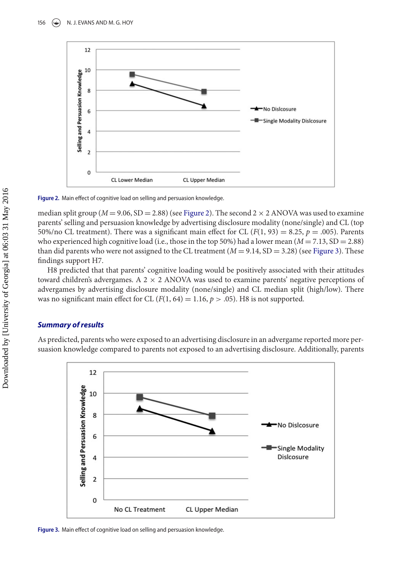<span id="page-11-0"></span>

Figure 2. Main effect of cognitive load on selling and persuasion knowledge.

median split group ( $M = 9.06$ , SD = 2.88) (see [Figure 2\)](#page-11-0). The second  $2 \times 2$  ANOVA was used to examine parents' selling and persuasion knowledge by advertising disclosure modality (none/single) and CL (top 50%/no CL treatment). There was a significant main effect for CL  $(F(1, 93) = 8.25, p = .005)$ . Parents who experienced high cognitive load (i.e., those in the top 50%) had a lower mean  $(M = 7.13, SD = 2.88)$ than did parents who were not assigned to the CL treatment  $(M = 9.14, SD = 3.28)$  (see [Figure 3\)](#page-11-1). These findings support H7.

H8 predicted that that parents' cognitive loading would be positively associated with their attitudes toward children's advergames. A  $2 \times 2$  ANOVA was used to examine parents' negative perceptions of advergames by advertising disclosure modality (none/single) and CL median split (high/low). There was no significant main effect for CL  $(F(1, 64) = 1.16, p > .05)$ . H8 is not supported.

## *Summary of results*

As predicted, parents who were exposed to an advertising disclosure in an advergame reported more persuasion knowledge compared to parents not exposed to an advertising disclosure. Additionally, parents

<span id="page-11-1"></span>

Figure 3. Main effect of cognitive load on selling and persuasion knowledge.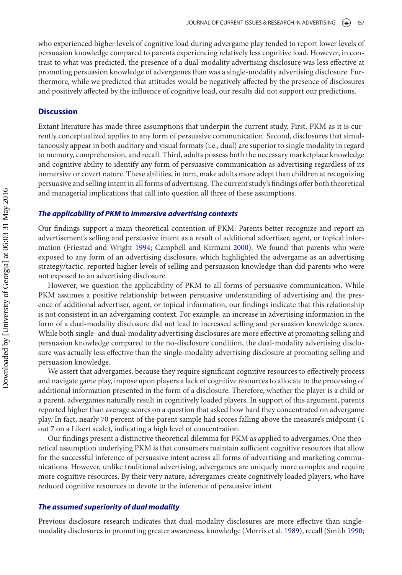who experienced higher levels of cognitive load during advergame play tended to report lower levels of persuasion knowledge compared to parents experiencing relatively less cognitive load. However, in contrast to what was predicted, the presence of a dual-modality advertising disclosure was less effective at promoting persuasion knowledge of advergames than was a single-modality advertising disclosure. Furthermore, while we predicted that attitudes would be negatively affected by the presence of disclosures and positively affected by the influence of cognitive load, our results did not support our predictions.

## **Discussion**

Extant literature has made three assumptions that underpin the current study. First, PKM as it is currently conceptualized applies to any form of persuasive communication. Second, disclosures that simultaneously appear in both auditory and visual formats (i.e., dual) are superior to single modality in regard to memory, comprehension, and recall. Third, adults possess both the necessary marketplace knowledge and cognitive ability to identify any form of persuasive communication as advertising regardless of its immersive or covert nature. These abilities, in turn, make adults more adept than children at recognizing persuasive and selling intent in all forms of advertising. The current study's findings offer both theoretical and managerial implications that call into question all three of these assumptions.

## *The applicability of PKM to immersive advertising contexts*

Our findings support a main theoretical contention of PKM: Parents better recognize and report an advertisement's selling and persuasive intent as a result of additional advertiser, agent, or topical information (Friestad and Wright [1994;](#page-16-5) Campbell and Kirmani [2000\)](#page-16-9). We found that parents who were exposed to any form of an advertising disclosure, which highlighted the advergame as an advertising strategy/tactic, reported higher levels of selling and persuasion knowledge than did parents who were not exposed to an advertising disclosure.

However, we question the applicability of PKM to all forms of persuasive communication. While PKM assumes a positive relationship between persuasive understanding of advertising and the presence of additional advertiser, agent, or topical information, our findings indicate that this relationship is not consistent in an advergaming context. For example, an increase in advertising information in the form of a dual-modality disclosure did not lead to increased selling and persuasion knowledge scores. While both single- and dual-modality advertising disclosures are more effective at promoting selling and persuasion knowledge compared to the no-disclosure condition, the dual-modality advertising disclosure was actually less effective than the single-modality advertising disclosure at promoting selling and persuasion knowledge.

We assert that advergames, because they require significant cognitive resources to effectively process and navigate game play, impose upon players a lack of cognitive resources to allocate to the processing of additional information presented in the form of a disclosure. Therefore, whether the player is a child or a parent, advergames naturally result in cognitively loaded players. In support of this argument, parents reported higher than average scores on a question that asked how hard they concentrated on advergame play. In fact, nearly 70 percent of the parent sample had scores falling above the measure's midpoint (4 out 7 on a Likert scale), indicating a high level of concentration.

Our findings present a distinctive theoretical dilemma for PKM as applied to advergames. One theoretical assumption underlying PKM is that consumers maintain sufficient cognitive resources that allow for the successful inference of persuasive intent across all forms of advertising and marketing communications. However, unlike traditional advertising, advergames are uniquely more complex and require more cognitive resources. By their very nature, advergames create cognitively loaded players, who have reduced cognitive resources to devote to the inference of persuasive intent.

## *The assumed superiority of dual modality*

Previous disclosure research indicates that dual-modality disclosures are more effective than singlemodality disclosures in promoting greater awareness, knowledge (Morris et al. [1989\)](#page-17-13), recall (Smith [1990;](#page-17-14)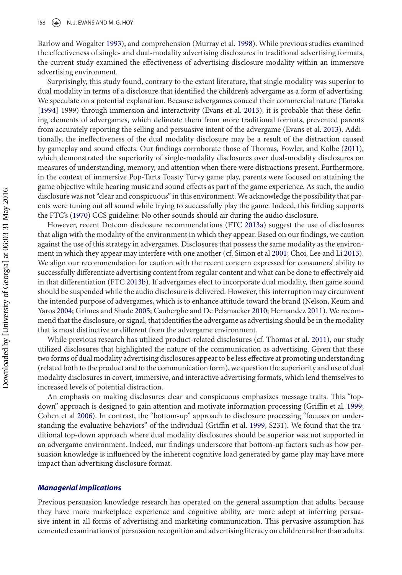Barlow and Wogalter [1993\)](#page-15-3), and comprehension (Murray et al. [1998\)](#page-17-15). While previous studies examined the effectiveness of single- and dual-modality advertising disclosures in traditional advertising formats, the current study examined the effectiveness of advertising disclosure modality within an immersive advertising environment.

Surprisingly, this study found, contrary to the extant literature, that single modality was superior to dual modality in terms of a disclosure that identified the children's advergame as a form of advertising. We speculate on a potential explanation. Because advergames conceal their commercial nature (Tanaka [\[1994\]](#page-17-2) 1999) through immersion and interactivity (Evans et al. [2013\)](#page-16-2), it is probable that these defining elements of advergames, which delineate them from more traditional formats, prevented parents from accurately reporting the selling and persuasive intent of the advergame (Evans et al. [2013\)](#page-16-2). Additionally, the ineffectiveness of the dual modality disclosure may be a result of the distraction caused by gameplay and sound effects. Our findings corroborate those of Thomas, Fowler, and Kolbe [\(2011\)](#page-17-25), which demonstrated the superiority of single-modality disclosures over dual-modality disclosures on measures of understanding, memory, and attention when there were distractions present. Furthermore, in the context of immersive Pop-Tarts Toasty Turvy game play, parents were focused on attaining the game objective while hearing music and sound effects as part of the game experience. As such, the audio disclosure was not "clear and conspicuous" in this environment. We acknowledge the possibility that parents were tuning out all sound while trying to successfully play the game. Indeed, this finding supports the FTC's [\(1970\)](#page-16-13) CCS guideline: No other sounds should air during the audio disclosure.

However, recent Dotcom disclosure recommendations (FTC [2013a\)](#page-16-18) suggest the use of disclosures that align with the modality of the environment in which they appear. Based on our findings, we caution against the use of this strategy in advergames. Disclosures that possess the same modality as the environment in which they appear may interfere with one another (cf. Simon et al [2001;](#page-17-26) Choi, Lee and Li [2013\)](#page-16-19). We align our recommendation for caution with the recent concern expressed for consumers' ability to successfully differentiate advertising content from regular content and what can be done to effectively aid in that differentiation (FTC [2013b\)](#page-16-20). If advergames elect to incorporate dual modality, then game sound should be suspended while the audio disclosure is delivered. However, this interruption may circumvent the intended purpose of advergames, which is to enhance attitude toward the brand (Nelson, Keum and Yaros [2004;](#page-17-27) Grimes and Shade [2005;](#page-16-21) Cauberghe and De Pelsmacker [2010;](#page-16-22) Hernandez [2011\)](#page-16-23). We recommend that the disclosure, or signal, that identifies the advergame as advertising should be in the modality that is most distinctive or different from the advergame environment.

While previous research has utilized product-related disclosures (cf. Thomas et al. [2011\)](#page-17-25), our study utilized disclosures that highlighted the nature of the communication as advertising. Given that these two forms of dual modality advertising disclosures appear to be less effective at promoting understanding (related both to the product and to the communication form), we question the superiority and use of dual modality disclosures in covert, immersive, and interactive advertising formats, which lend themselves to increased levels of potential distraction.

An emphasis on making disclosures clear and conspicuous emphasizes message traits. This "topdown" approach is designed to gain attention and motivate information processing (Griffin et al. [1999;](#page-16-24) Cohen et al [2006\)](#page-16-25). In contrast, the "bottom-up" approach to disclosure processing "focuses on understanding the evaluative behaviors" of the individual (Griffin et al. [1999,](#page-16-24) S231). We found that the traditional top-down approach where dual modality disclosures should be superior was not supported in an advergame environment. Indeed, our findings underscore that bottom-up factors such as how persuasion knowledge is influenced by the inherent cognitive load generated by game play may have more impact than advertising disclosure format.

#### *Managerial implications*

Previous persuasion knowledge research has operated on the general assumption that adults, because they have more marketplace experience and cognitive ability, are more adept at inferring persuasive intent in all forms of advertising and marketing communication. This pervasive assumption has cemented examinations of persuasion recognition and advertising literacy on children rather than adults.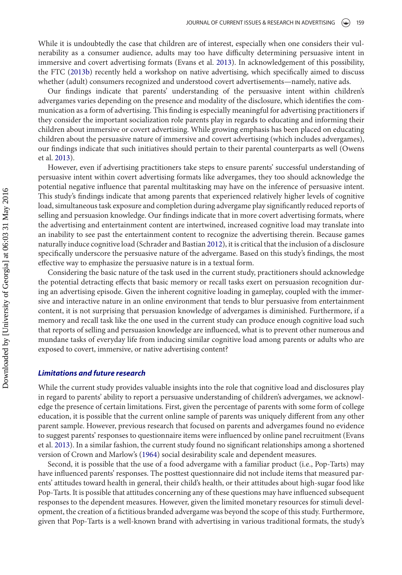While it is undoubtedly the case that children are of interest, especially when one considers their vulnerability as a consumer audience, adults may too have difficulty determining persuasive intent in immersive and covert advertising formats (Evans et al. [2013\)](#page-16-2). In acknowledgement of this possibility, the FTC [\(2013b\)](#page-16-20) recently held a workshop on native advertising, which specifically aimed to discuss whether (adult) consumers recognized and understood covert advertisements—namely, native ads.

Our findings indicate that parents' understanding of the persuasive intent within children's advergames varies depending on the presence and modality of the disclosure, which identifies the communication as a form of advertising. This finding is especially meaningful for advertising practitioners if they consider the important socialization role parents play in regards to educating and informing their children about immersive or covert advertising. While growing emphasis has been placed on educating children about the persuasive nature of immersive and covert advertising (which includes advergames), our findings indicate that such initiatives should pertain to their parental counterparts as well (Owens et al. [2013\)](#page-17-4).

However, even if advertising practitioners take steps to ensure parents' successful understanding of persuasive intent within covert advertising formats like advergames, they too should acknowledge the potential negative influence that parental multitasking may have on the inference of persuasive intent. This study's findings indicate that among parents that experienced relatively higher levels of cognitive load, simultaneous task exposure and completion during advergame play significantly reduced reports of selling and persuasion knowledge. Our findings indicate that in more covert advertising formats, where the advertising and entertainment content are intertwined, increased cognitive load may translate into an inability to see past the entertainment content to recognize the advertising therein. Because games naturally induce cognitive load (Schrader and Bastian [2012\)](#page-17-20), it is critical that the inclusion of a disclosure specifically underscore the persuasive nature of the advergame. Based on this study's findings, the most effective way to emphasize the persuasive nature is in a textual form.

Considering the basic nature of the task used in the current study, practitioners should acknowledge the potential detracting effects that basic memory or recall tasks exert on persuasion recognition during an advertising episode. Given the inherent cognitive loading in gameplay, coupled with the immersive and interactive nature in an online environment that tends to blur persuasive from entertainment content, it is not surprising that persuasion knowledge of advergames is diminished. Furthermore, if a memory and recall task like the one used in the current study can produce enough cognitive load such that reports of selling and persuasion knowledge are influenced, what is to prevent other numerous and mundane tasks of everyday life from inducing similar cognitive load among parents or adults who are exposed to covert, immersive, or native advertising content?

## *Limitations and future research*

While the current study provides valuable insights into the role that cognitive load and disclosures play in regard to parents' ability to report a persuasive understanding of children's advergames, we acknowledge the presence of certain limitations. First, given the percentage of parents with some form of college education, it is possible that the current online sample of parents was uniquely different from any other parent sample. However, previous research that focused on parents and advergames found no evidence to suggest parents' responses to questionnaire items were influenced by online panel recruitment (Evans et al. [2013\)](#page-16-2). In a similar fashion, the current study found no significant relationships among a shortened version of Crown and Marlow's [\(1964\)](#page-16-26) social desirability scale and dependent measures.

Second, it is possible that the use of a food advergame with a familiar product (i.e., Pop-Tarts) may have influenced parents' responses. The posttest questionnaire did not include items that measured parents' attitudes toward health in general, their child's health, or their attitudes about high-sugar food like Pop-Tarts. It is possible that attitudes concerning any of these questions may have influenced subsequent responses to the dependent measures. However, given the limited monetary resources for stimuli development, the creation of a fictitious branded advergame was beyond the scope of this study. Furthermore, given that Pop-Tarts is a well-known brand with advertising in various traditional formats, the study's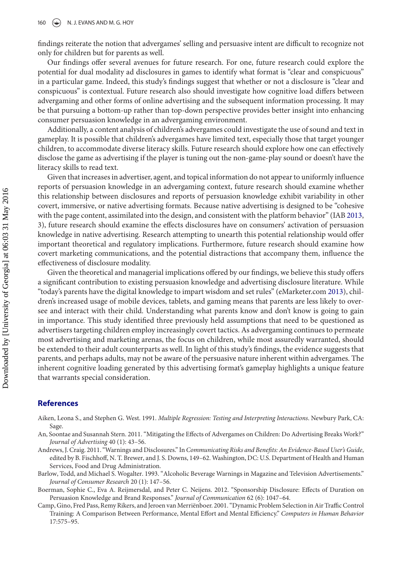findings reiterate the notion that advergames' selling and persuasive intent are difficult to recognize not only for children but for parents as well.

Our findings offer several avenues for future research. For one, future research could explore the potential for dual modality ad disclosures in games to identify what format is "clear and conspicuous" in a particular game. Indeed, this study's findings suggest that whether or not a disclosure is "clear and conspicuous" is contextual. Future research also should investigate how cognitive load differs between advergaming and other forms of online advertising and the subsequent information processing. It may be that pursuing a bottom-up rather than top-down perspective provides better insight into enhancing consumer persuasion knowledge in an advergaming environment.

Additionally, a content analysis of children's advergames could investigate the use of sound and text in gameplay. It is possible that children's advergames have limited text, especially those that target younger children, to accommodate diverse literacy skills. Future research should explore how one can effectively disclose the game as advertising if the player is tuning out the non-game-play sound or doesn't have the literacy skills to read text.

Given that increases in advertiser, agent, and topical information do not appear to uniformly influence reports of persuasion knowledge in an advergaming context, future research should examine whether this relationship between disclosures and reports of persuasion knowledge exhibit variability in other covert, immersive, or native advertising formats. Because native advertising is designed to be "cohesive with the page content, assimilated into the design, and consistent with the platform behavior" (IAB [2013,](#page-16-27) 3), future research should examine the effects disclosures have on consumers' activation of persuasion knowledge in native advertising. Research attempting to unearth this potential relationship would offer important theoretical and regulatory implications. Furthermore, future research should examine how covert marketing communications, and the potential distractions that accompany them, influence the effectiveness of disclosure modality.

Given the theoretical and managerial implications offered by our findings, we believe this study offers a significant contribution to existing persuasion knowledge and advertising disclosure literature. While "today's parents have the digital knowledge to impart wisdom and set rules" (eMarketer.com [2013\)](#page-16-1), children's increased usage of mobile devices, tablets, and gaming means that parents are less likely to oversee and interact with their child. Understanding what parents know and don't know is going to gain in importance. This study identified three previously held assumptions that need to be questioned as advertisers targeting children employ increasingly covert tactics. As advergaming continues to permeate most advertising and marketing arenas, the focus on children, while most assuredly warranted, should be extended to their adult counterparts as well. In light of this study's findings, the evidence suggests that parents, and perhaps adults, may not be aware of the persuasive nature inherent within advergames. The inherent cognitive loading generated by this advertising format's gameplay highlights a unique feature that warrants special consideration.

## **References**

- <span id="page-15-5"></span>Aiken, Leona S., and Stephen G. West. 1991. *Multiple Regression: Testing and Interpreting Interactions*. Newbury Park, CA: Sage.
- <span id="page-15-0"></span>An, Soontae and Susannah Stern. 2011. "Mitigating the Effects of Advergames on Children: Do Advertising Breaks Work?" *Journal of Advertising* 40 (1): 43–56.
- <span id="page-15-2"></span>Andrews, J. Craig. 2011. "Warnings and Disclosures." In *Communicating Risks and Benefits: An Evidence-Based User's Guide*, edited by B. Fischhoff, N. T. Brewer, and J. S. Downs, 149–62. Washington, DC: U.S. Department of Health and Human Services, Food and Drug Administration.
- <span id="page-15-3"></span>Barlow, Todd, and Michael S. Wogalter. 1993. "Alcoholic Beverage Warnings in Magazine and Television Advertisements." *Journal of Consumer Research* 20 (1): 147–56.
- <span id="page-15-1"></span>Boerman, Sophie C., Eva A. Reijmersdal, and Peter C. Neijens. 2012. "Sponsorship Disclosure: Effects of Duration on Persuasion Knowledge and Brand Responses." *Journal of Communication* 62 (6): 1047–64.
- <span id="page-15-4"></span>Camp, Gino, Fred Pass, Remy Rikers, and Jeroen van Merriënboer. 2001. "Dynamic Problem Selection in Air Traffic Control Training: A Comparison Between Performance, Mental Effort and Mental Efficiency." *Computers in Human Behavior* 17:575–95.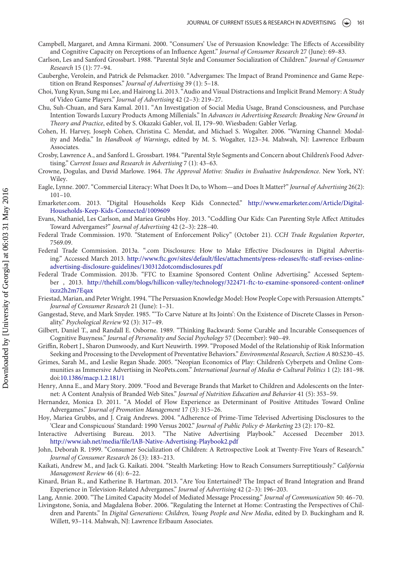- <span id="page-16-9"></span>Campbell, Margaret, and Amna Kirmani. 2000. "Consumers' Use of Persuasion Knowledge: The Effects of Accessibility and Cognitive Capacity on Perceptions of an Influence Agent." *Journal of Consumer Research* 27 (June): 69–83.
- <span id="page-16-16"></span>Carlson, Les and Sanford Grossbart. 1988. "Parental Style and Consumer Socialization of Children." *Journal of Consumer Research* 15 (1): 77–94.
- <span id="page-16-22"></span>Cauberghe, Verolein, and Patrick de Pelsmacker. 2010. "Advergames: The Impact of Brand Prominence and Game Repetition on Brand Responses." *Journal of Advertising* 39 (1): 5–18.
- <span id="page-16-19"></span>Choi, Yung Kyun, Sung mi Lee, and Hairong Li. 2013. "Audio and Visual Distractions and Implicit Brand Memory: A Study of Video Game Players." *Journal of Advertising* 42 (2–3): 219–27.
- <span id="page-16-14"></span>Chu, Suh-Chuan, and Sara Kamal. 2011. "An Investigation of Social Media Usage, Brand Consciousness, and Purchase Intention Towards Luxury Products Among Millenials." In *Advances in Advertising Research: Breaking New Ground in Theory and Practice*, edited by S. Okazaki Gabler, vol. II, 179–90. Wiesbaden: Gabler Verlag.
- <span id="page-16-25"></span>Cohen, H. Harvey, Joseph Cohen, Christina C. Mendat, and Michael S. Wogalter. 2006. "Warning Channel: Modality and Media." In *Handbook of Warnings*, edited by M. S. Wogalter, 123–34. Mahwah, NJ: Lawrence Erlbaum Associates.
- <span id="page-16-15"></span>Crosby, Lawrence A., and Sanford L. Grossbart. 1984. "Parental Style Segments and Concern about Children's Food Advertising." *Current Issues and Research in Advertising* 7 (1): 43–63.
- <span id="page-16-26"></span>Crowne, Dogulas, and David Marlowe. 1964. *The Approval Motive: Studies in Evaluative Independence*. New York, NY: Wiley.
- <span id="page-16-3"></span>Eagle, Lynne. 2007. "Commercial Literacy: What Does It Do, to Whom—and Does It Matter?" *Journal of Advertising* 26(2): 101–10.
- <span id="page-16-1"></span>Em[arketer.com. 2013. "Digital Households Keep Kids Connected."](http://www.emarketer.com/Article/Digital-Households-Keep-Kids-Connected/1009609) http://www.emarketer.com/Article/Digital-Households-Keep-Kids-Connected/1009609
- <span id="page-16-2"></span>Evans, Nathaniel, Les Carlson, and Mariea Grubbs Hoy. 2013. "Coddling Our Kids: Can Parenting Style Affect Attitudes Toward Advergames?" *Journal of Advertising* 42 (2–3): 228–40.
- <span id="page-16-13"></span>Federal Trade Commission. 1970. "Statement of Enforcement Policy" (October 21). *CCH Trade Regulation Reporter*, 7569.09.
- <span id="page-16-18"></span>Federal Trade Commission. 2013a. ".com Disclosures: How to Make Effective Disclosures in Digital Advertising." Accessed March 2013. [http://www.ftc.gov/sites/default/files/attachments/press-releases/ftc-staff-revises-online](http://www.ftc.gov/sites/default/files/attachments/press-releases/ftc-staff-revises-online-advertising-disclosure-guidelines/130312dotcomdisclosures.pdf)advertising-disclosure-guidelines/130312dotcomdisclosures.pdf
- <span id="page-16-20"></span>Federal Trade Commission. 2013b. "FTC to Examine Sponsored Content Online Advertising." Accessed September , 2013. [http://thehill.com/blogs/hillicon-valley/technology/322471-ftc-to-examine-sponsored-content-online#](http://thehill.com/blogs/hillicon-valley/technology/322471-ftc-to-examine-sponsored-content-online\043ixzz2h2m7Eqax) ixzz2h2m7Eqax
- <span id="page-16-5"></span>Friestad, Marian, and PeterWright. 1994. "The Persuasion Knowledge Model: How People Cope with Persuasion Attempts." *Journal of Consumer Research* 21 (June): 1–31.
- <span id="page-16-17"></span>Gangestad, Steve, and Mark Snyder. 1985. "'To Carve Nature at Its Joints': On the Existence of Discrete Classes in Personality." *Psychological Review* 92 (3): 317–49.
- <span id="page-16-7"></span>Gilbert, Daniel T., and Randall E. Osborne. 1989. "Thinking Backward: Some Curable and Incurable Consequences of Cognitive Busyness." *Journal of Personality and Social Psychology* 57 (December): 940–49.
- <span id="page-16-24"></span>Griffin, Robert J., Sharon Dunwoody, and Kurt Neuwirth. 1999. "Proposed Model of the Relationship of Risk Information Seeking and Processing to the Development of Preventative Behaviors." *Environmental Research, Section A* 80:S230–45.
- <span id="page-16-21"></span>Grimes, Sarah M., and Leslie Regan Shade. 2005. "Neopian Economics of Play: Children's Cyberpets and Online Communities as Immersive Advertising in NeoPets.com." *International Journal of Media & Cultural Politics* 1 (2): 181–98. doi[:10.1386/macp.1.2.181/1](http://dx.doi.org/10.1386/macp.1.2.181/1)
- <span id="page-16-11"></span>Henry, Anna E., and Mary Story. 2009. "Food and Beverage Brands that Market to Children and Adolescents on the Internet: A Content Analysis of Branded Web Sites." *Journal of Nutrition Education and Behavior* 41 (5): 353–59.
- <span id="page-16-23"></span>Hernandez, Monica D. 2011. "A Model of Flow Experience as Determinant of Positive Attitudes Toward Online Advergames." *Journal of Promotion Management* 17 (3): 315–26.
- <span id="page-16-12"></span>Hoy, Mariea Grubbs, and J. Craig Andrews. 2004. "Adherence of Prime-Time Televised Advertising Disclosures to the 'Clear and Conspicuous' Standard: 1990 Versus 2002." *Journal of Public Policy & Marketing* 23 (2): 170–82.
- <span id="page-16-27"></span>Interactive Advertising Bureau. 2013. "The Native Advertising Playbook." Accessed December 2013. <http://www.iab.net/media/file/IAB-Native-Advertising-Playbook2.pdf>
- <span id="page-16-6"></span>John, Deborah R. 1999. "Consumer Socialization of Children: A Retrospective Look at Twenty-Five Years of Research." *Journal of Consumer Research* 26 (3): 183–213.
- <span id="page-16-0"></span>Kaikati, Andrew M., and Jack G. Kaikati. 2004. "Stealth Marketing: How to Reach Consumers Surreptitiously." *California Management Review* 46 (4): 6–22.
- <span id="page-16-10"></span>Kinard, Brian R., and Katherine B. Hartman. 2013. "Are You Entertained? The Impact of Brand Integration and Brand Experience in Television-Related Advergames." *Journal of Advertising* 42 (2–3): 196–203.
- <span id="page-16-8"></span><span id="page-16-4"></span>Lang, Annie. 2000. "The Limited Capacity Model of Mediated Message Processing." *Journal of Communication* 50: 46–70. Livingstone, Sonia, and Magdalena Bober. 2006. "Regulating the Internet at Home: Contrasting the Perspectives of Chil-
- dren and Parents." In *Digital Generations: Children, Young People and New Media*, edited by D. Buckingham and R. Willett, 93–114. Mahwah, NJ: Lawrence Erlbaum Associates.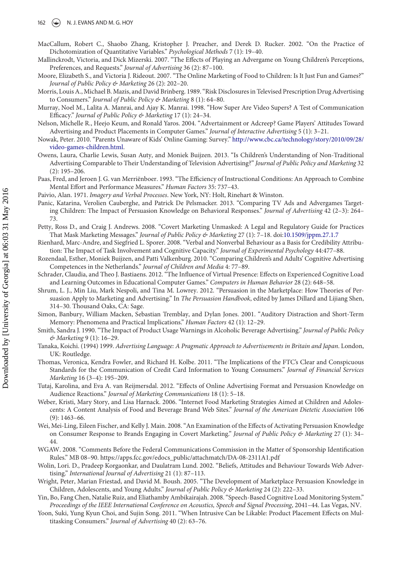#### 162  $\left(\frac{1}{2}\right)$  N. J. EVANS AND M. G. HOY

- <span id="page-17-24"></span>MacCallum, Robert C., Shaobo Zhang, Kristopher J. Preacher, and Derek D. Rucker. 2002. "On the Practice of Dichotomization of Quantitative Variables." *Psychological Methods* 7 (1): 19–40.
- <span id="page-17-3"></span>Mallinckrodt, Victoria, and Dick Mizerski. 2007. "The Effects of Playing an Advergame on Young Children's Perceptions, Preferences, and Requests." *Journal of Advertising* 36 (2): 87–100.
- <span id="page-17-5"></span>Moore, Elizabeth S., and Victoria J. Rideout. 2007. "The Online Marketing of Food to Children: Is It Just Fun and Games?" *Journal of Public Policy & Marketing* 26 (2): 202–20.
- <span id="page-17-13"></span>Morris, Louis A., Michael B. Mazis, and David Brinberg. 1989. "Risk Disclosures in Televised Prescription Drug Advertising to Consumers." *Journal of Public Policy & Marketing* 8 (1): 64–80.
- <span id="page-17-15"></span>Murray, Noel M., Lalita A. Manrai, and Ajay K. Manrai. 1998. "How Super Are Video Supers? A Test of Communication Efficacy." *Journal of Public Policy & Marketing* 17 (1): 24–34.
- <span id="page-17-27"></span>Nelson, Michelle R., Heejo Keum, and Ronald Yaros. 2004. "Advertainment or Adcreep? Game Players' Attitudes Toward Advertising and Product Placements in Computer Games." *Journal of Interactive Advertising* 5 (1): 3–21.
- <span id="page-17-6"></span>No[wak, Peter. 2010. "Parents Unaware of Kids' Online Gaming: Survey."](http://www.cbc.ca/technology/story/2010/09/28/video-games-children.html) http://www.cbc.ca/technology/story/2010/09/28/ video-games-children.html.
- <span id="page-17-4"></span>Owens, Laura, Charlie Lewis, Susan Auty, and Moniek Buijzen. 2013. "Is Children's Understanding of Non-Traditional Advertising Comparable to Their Understanding of Television Advertising?" *Journal of Public Policy and Marketing* 32 (2): 195–206.
- <span id="page-17-19"></span>Paas, Fred, and Jeroen J. G. van Merriënboer. 1993. "The Efficiency of Instructional Conditions: An Approach to Combine Mental Effort and Performance Measures." *Human Factors* 35: 737–43.
- <span id="page-17-12"></span>Paivio, Alan. 1971. *Imagery and Verbal Processes*. New York, NY: Holt, Rinehart & Winston.
- <span id="page-17-16"></span>Panic, Katarina, Verolien Cauberghe, and Patrick De Pelsmacker. 2013. "Comparing TV Ads and Advergames Targeting Children: The Impact of Persuasion Knowledge on Behavioral Responses." *Journal of Advertising* 42 (2–3): 264– 73.
- <span id="page-17-0"></span>Petty, Ross D., and Craig J. Andrews. 2008. "Covert Marketing Unmasked: A Legal and Regulatory Guide for Practices That Mask Marketing Messages." *Journal of Public Policy & Marketing* 27 (1): 7–18. doi[:10.1509/jppm.27.1.7](http://dx.doi.org/10.1509/jppm.27.1.7)
- <span id="page-17-22"></span>Rienhard, Marc-Andre, and Siegfried L. Sporer. 2008. "Verbal and Nonverbal Behaviour as a Basis for Credibility Attribution: The Impact of Task Involvement and Cognitive Capacity." *Journal of Experimental Psychology* 44:477–88.
- <span id="page-17-9"></span>Rozendaal, Esther, Moniek Buijzen, and Patti Valkenburg. 2010. "Comparing Children's and Adults' Cognitive Advertising Competences in the Netherlands." *Journal of Children and Media* 4: 77–89.
- <span id="page-17-20"></span>Schrader, Claudia, and Theo J. Bastiaens. 2012. "The Influence of Virtual Presence: Effects on Experienced Cognitive Load and Learning Outcomes in Educational Computer Games." *Computers in Human Behavior* 28 (2): 648–58.
- <span id="page-17-8"></span>Shrum, L. J., Min Liu, Mark Nespoli, and Tina M. Lowrey. 2012. "Persuasion in the Marketplace: How Theories of Persuasion Apply to Marketing and Advertising." In *The Persuasion Handbook*, edited by James Dillard and Lijiang Shen, 314–30. Thousand Oaks, CA: Sage.
- <span id="page-17-26"></span>Simon, Banbury, William Macken, Sebastian Tremblay, and Dylan Jones. 2001. "Auditory Distraction and Short-Term Memory: Phenomena and Practical Implications." *Human Factors* 42 (1): 12–29.
- <span id="page-17-14"></span>Smith, Sandra J. 1990. "The Impact of Product Usage Warnings in Alcoholic Beverage Advertising." *Journal of Public Policy & Marketing* 9 (1): 16–29.
- <span id="page-17-2"></span>Tanaka, Koichi. (1994) 1999. *Advertising Language: A Pragmatic Approach to Advertisements in Britain and Japan*. London, UK: Routledge.
- <span id="page-17-25"></span>Thomas, Veronica, Kendra Fowler, and Richard H. Kolbe. 2011. "The Implications of the FTC's Clear and Conspicuous Standards for the Communication of Credit Card Information to Young Consumers." *Journal of Financial Services Marketing* 16 (3–4): 195–209.
- <span id="page-17-10"></span>Tutaj, Karolina, and Eva A. van Reijmersdal. 2012. "Effects of Online Advertising Format and Persuasion Knowledge on Audience Reactions." *Journal of Marketing Communications* 18 (1): 5–18.
- <span id="page-17-11"></span>Weber, Kristi, Mary Story, and Lisa Harnack. 2006. "Internet Food Marketing Strategies Aimed at Children and Adolescents: A Content Analysis of Food and Beverage Brand Web Sites." *Journal of the American Dietetic Association* 106 (9): 1463–66.
- <span id="page-17-1"></span>Wei, Mei-Ling, Eileen Fischer, and Kelly J. Main. 2008. "An Examination of the Effects of Activating Persuasion Knowledge on Consumer Response to Brands Engaging in Covert Marketing." *Journal of Public Policy & Marketing* 27 (1): 34– 44.
- <span id="page-17-21"></span>WGAW. 2008. "Comments Before the Federal Communications Commission in the Matter of Sponsorship Identification Rules." MB 08–90. https://apps.fcc.gov/edocs\_public/attachmatch/DA-08-2311A1.pdf
- <span id="page-17-23"></span>Wolin, Lori. D., Pradeep Korgaonkar, and Daulatram Lund. 2002. "Beliefs, Attitudes and Behaviour Towards Web Advertising." *International Journal of Advertising* 21 (1): 87–113.
- <span id="page-17-7"></span>Wright, Peter, Marian Friestad, and David M. Boush. 2005. "The Development of Marketplace Persuasion Knowledge in Children, Adolescents, and Young Adults." *Journal of Public Policy & Marketing* 24 (2): 222–33.
- <span id="page-17-18"></span>Yin, Bo, Fang Chen, Natalie Ruiz, and Eliathamby Ambikairajah. 2008. "Speech-Based Cognitive Load Monitoring System." *Proceedings of the IEEE International Conference on Acoustics, Speech and Signal Processing*, 2041–44. Las Vegas, NV.
- <span id="page-17-17"></span>Yoon, Suki, Yung Kyun Choi, and Sujin Song. 2011. "When Intrusive Can be Likable: Product Placement Effects on Multitasking Consumers." *Journal of Advertising* 40 (2): 63–76.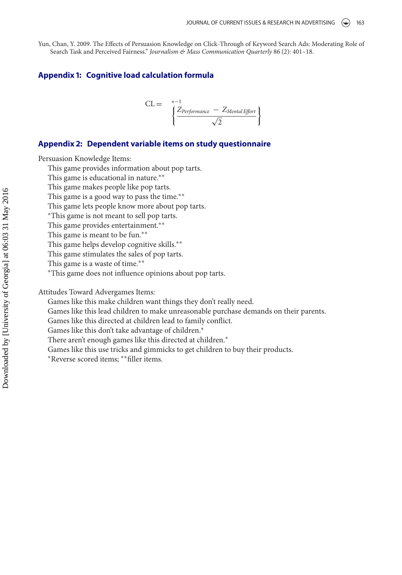<span id="page-18-0"></span>Yun, Chan, Y. 2009. The Effects of Persuasion Knowledge on Click-Through of Keyword Search Ads: Moderating Role of Search Task and Perceived Fairness." *Journalism & Mass Communication Quarterly* 86 (2): 401–18.

## **Appendix 1: Cognitive load calculation formula**

$$
CL = \left\{\frac{Z_{Performance} - Z_{Mental \, Effort}}{\sqrt{2}}\right\}
$$

## **Appendix 2: Dependent variable items on study questionnaire**

Persuasion Knowledge Items:

This game provides information about pop tarts.

This game is educational in nature.∗∗

This game makes people like pop tarts.

This game is a good way to pass the time.∗∗

This game lets people know more about pop tarts.

∗This game is not meant to sell pop tarts.

This game provides entertainment.<sup>∗</sup>\*

This game is meant to be fun.∗∗

This game helps develop cognitive skills.∗∗

This game stimulates the sales of pop tarts.

This game is a waste of time.∗∗

∗This game does not influence opinions about pop tarts.

Attitudes Toward Advergames Items:

Games like this make children want things they don't really need.

Games like this lead children to make unreasonable purchase demands on their parents.

Games like this directed at children lead to family conflict.

Games like this don't take advantage of children.∗

There aren't enough games like this directed at children.<sup>\*</sup>

Games like this use tricks and gimmicks to get children to buy their products.

∗Reverse scored items; ∗∗filler items.